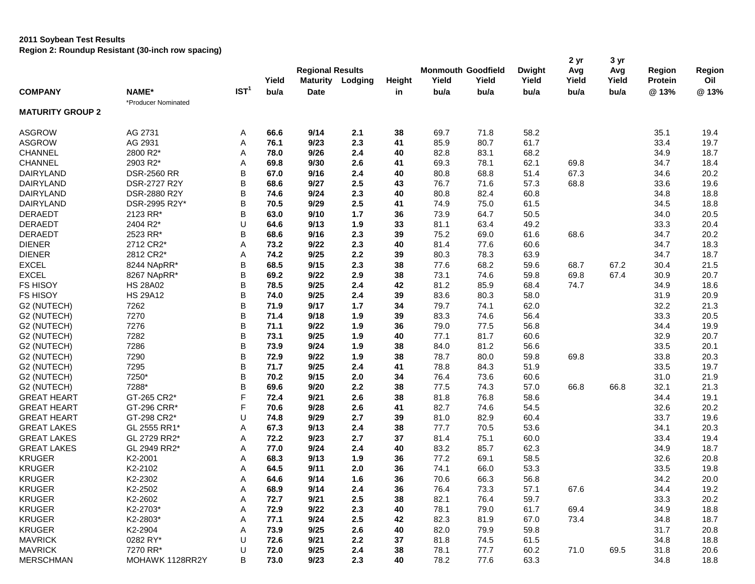#### **2011 Soybean Test Results**

**Region 2: Roundup Resistant (30-inch row spacing)**

|                         | Region 2. Rodnaap Resistant (30-men row spacing) |                  |       |                         |                         |               |                                    |       |                        | 2 yr         | 3 yr         |                                 |               |
|-------------------------|--------------------------------------------------|------------------|-------|-------------------------|-------------------------|---------------|------------------------------------|-------|------------------------|--------------|--------------|---------------------------------|---------------|
|                         |                                                  |                  | Yield | <b>Regional Results</b> | <b>Maturity Lodging</b> | <b>Height</b> | <b>Monmouth Goodfield</b><br>Yield | Yield | <b>Dwight</b><br>Yield | Avg<br>Yield | Avg<br>Yield | <b>Region</b><br><b>Protein</b> | Region<br>Oil |
| <b>COMPANY</b>          | NAME*                                            | IST <sup>1</sup> | bu/a  | <b>Date</b>             |                         | in            | bu/a                               | bu/a  | bu/a                   | bu/a         | bu/a         | @13%                            | @13%          |
|                         | *Producer Nominated                              |                  |       |                         |                         |               |                                    |       |                        |              |              |                                 |               |
| <b>MATURITY GROUP 2</b> |                                                  |                  |       |                         |                         |               |                                    |       |                        |              |              |                                 |               |
| <b>ASGROW</b>           | AG 2731                                          | A                | 66.6  | 9/14                    | 2.1                     | 38            | 69.7                               | 71.8  | 58.2                   |              |              | 35.1                            | 19.4          |
| <b>ASGROW</b>           | AG 2931                                          | Α                | 76.1  | 9/23                    | 2.3                     | 41            | 85.9                               | 80.7  | 61.7                   |              |              | 33.4                            | 19.7          |
| <b>CHANNEL</b>          | 2800 R2*                                         | Α                | 78.0  | 9/26                    | 2.4                     | 40            | 82.8                               | 83.1  | 68.2                   |              |              | 34.9                            | 18.7          |
| <b>CHANNEL</b>          | 2903 R2*                                         | Α                | 69.8  | 9/30                    | 2.6                     | 41            | 69.3                               | 78.1  | 62.1                   | 69.8         |              | 34.7                            | 18.4          |
| DAIRYLAND               | <b>DSR-2560 RR</b>                               | B                | 67.0  | 9/16                    | 2.4                     | 40            | 80.8                               | 68.8  | 51.4                   | 67.3         |              | 34.6                            | 20.2          |
| DAIRYLAND               | DSR-2727 R2Y                                     | B                | 68.6  | 9/27                    | 2.5                     | 43            | 76.7                               | 71.6  | 57.3                   | 68.8         |              | 33.6                            | 19.6          |
| DAIRYLAND               | DSR-2880 R2Y                                     | B                | 74.6  | 9/24                    | 2.3                     | 40            | 80.8                               | 82.4  | 60.8                   |              |              | 34.8                            | 18.8          |
| DAIRYLAND               | DSR-2995 R2Y*                                    | B                | 70.5  | 9/29                    | 2.5                     | 41            | 74.9                               | 75.0  | 61.5                   |              |              | 34.5                            | 18.8          |
| <b>DERAEDT</b>          | 2123 RR*                                         | B                | 63.0  | 9/10                    | 1.7                     | 36            | 73.9                               | 64.7  | 50.5                   |              |              | 34.0                            | 20.5          |
| <b>DERAEDT</b>          | 2404 R2*                                         | U                | 64.6  | 9/13                    | 1.9                     | 33            | 81.1                               | 63.4  | 49.2                   |              |              | 33.3                            | 20.4          |
| <b>DERAEDT</b>          | 2523 RR*                                         | В                | 68.6  | 9/16                    | 2.3                     | 39            | 75.2                               | 69.0  | 61.6                   | 68.6         |              | 34.7                            | 20.2          |
| <b>DIENER</b>           | 2712 CR2*                                        | Α                | 73.2  | 9/22                    | 2.3                     | 40            | 81.4                               | 77.6  | 60.6                   |              |              | 34.7                            | 18.3          |
| <b>DIENER</b>           | 2812 CR2*                                        | Α                | 74.2  | 9/25                    | 2.2                     | 39            | 80.3                               | 78.3  | 63.9                   |              |              | 34.7                            | 18.7          |
| <b>EXCEL</b>            | 8244 NApRR*                                      | B                | 68.5  | 9/15                    | 2.3                     | 38            | 77.6                               | 68.2  | 59.6                   | 68.7         | 67.2         | 30.4                            | 21.5          |
| <b>EXCEL</b>            | 8267 NApRR*                                      | B                | 69.2  | 9/22                    | 2.9                     | 38            | 73.1                               | 74.6  | 59.8                   | 69.8         | 67.4         | 30.9                            | 20.7          |
| <b>FS HISOY</b>         | <b>HS 28A02</b>                                  | B                | 78.5  | 9/25                    | 2.4                     | 42            | 81.2                               | 85.9  | 68.4                   | 74.7         |              | 34.9                            | 18.6          |
| <b>FS HISOY</b>         | <b>HS 29A12</b>                                  | B                | 74.0  | 9/25                    | 2.4                     | 39            | 83.6                               | 80.3  |                        |              |              |                                 | 20.9          |
| G2 (NUTECH)             |                                                  | B                | 71.9  | 9/17                    |                         |               | 79.7                               | 74.1  | 58.0                   |              |              | 31.9<br>32.2                    | 21.3          |
|                         | 7262                                             |                  |       |                         | 1.7                     | 34            |                                    |       | 62.0                   |              |              |                                 |               |
| G2 (NUTECH)             | 7270                                             | B                | 71.4  | 9/18                    | 1.9                     | 39            | 83.3                               | 74.6  | 56.4                   |              |              | 33.3                            | 20.5          |
| G2 (NUTECH)             | 7276                                             | B                | 71.1  | 9/22                    | 1.9                     | 36            | 79.0                               | 77.5  | 56.8                   |              |              | 34.4                            | 19.9          |
| G2 (NUTECH)             | 7282                                             | B                | 73.1  | 9/25                    | 1.9                     | 40            | 77.1                               | 81.7  | 60.6                   |              |              | 32.9                            | 20.7          |
| G2 (NUTECH)             | 7286                                             | B                | 73.9  | 9/24                    | 1.9                     | 38            | 84.0                               | 81.2  | 56.6                   |              |              | 33.5                            | 20.1          |
| G2 (NUTECH)             | 7290                                             | B                | 72.9  | 9/22                    | 1.9                     | 38            | 78.7                               | 80.0  | 59.8                   | 69.8         |              | 33.8                            | 20.3          |
| G2 (NUTECH)             | 7295                                             | B                | 71.7  | 9/25                    | 2.4                     | 41            | 78.8                               | 84.3  | 51.9                   |              |              | 33.5                            | 19.7          |
| G2 (NUTECH)             | 7250*                                            | B                | 70.2  | 9/15                    | 2.0                     | 34            | 76.4                               | 73.6  | 60.6                   |              |              | 31.0                            | 21.9          |
| G2 (NUTECH)             | 7288*                                            | B                | 69.6  | 9/20                    | 2.2                     | 38            | 77.5                               | 74.3  | 57.0                   | 66.8         | 66.8         | 32.1                            | 21.3          |
| <b>GREAT HEART</b>      | GT-265 CR2*                                      | F                | 72.4  | 9/21                    | 2.6                     | 38            | 81.8                               | 76.8  | 58.6                   |              |              | 34.4                            | 19.1          |
| <b>GREAT HEART</b>      | GT-296 CRR*                                      | F                | 70.6  | 9/28                    | 2.6                     | 41            | 82.7                               | 74.6  | 54.5                   |              |              | 32.6                            | 20.2          |
| <b>GREAT HEART</b>      | GT-298 CR2*                                      | U                | 74.8  | 9/29                    | 2.7                     | 39            | 81.0                               | 82.9  | 60.4                   |              |              | 33.7                            | 19.6          |
| <b>GREAT LAKES</b>      | GL 2555 RR1*                                     | Α                | 67.3  | 9/13                    | 2.4                     | 38            | 77.7                               | 70.5  | 53.6                   |              |              | 34.1                            | 20.3          |
| <b>GREAT LAKES</b>      | GL 2729 RR2*                                     | Α                | 72.2  | 9/23                    | 2.7                     | 37            | 81.4                               | 75.1  | 60.0                   |              |              | 33.4                            | 19.4          |
| <b>GREAT LAKES</b>      | GL 2949 RR2*                                     | Α                | 77.0  | 9/24                    | 2.4                     | 40            | 83.2                               | 85.7  | 62.3                   |              |              | 34.9                            | 18.7          |
| <b>KRUGER</b>           | K2-2001                                          | Α                | 68.3  | 9/13                    | 1.9                     | 36            | 77.2                               | 69.1  | 58.5                   |              |              | 32.6                            | 20.8          |
| <b>KRUGER</b>           | K2-2102                                          | Α                | 64.5  | 9/11                    | 2.0                     | 36            | 74.1                               | 66.0  | 53.3                   |              |              | 33.5                            | 19.8          |
| KRUGER                  | K2-2302                                          | Α                | 64.6  | 9/14                    | 1.6                     | $36\,$        | 70.6                               | 66.3  | 56.8                   |              |              | 34.2                            | 20.0          |
| <b>KRUGER</b>           | K2-2502                                          | Α                | 68.9  | 9/14                    | 2.4                     | 36            | 76.4                               | 73.3  | 57.1                   | 67.6         |              | 34.4                            | 19.2          |
| <b>KRUGER</b>           | K2-2602                                          | Α                | 72.7  | 9/21                    | 2.5                     | 38            | 82.1                               | 76.4  | 59.7                   |              |              | 33.3                            | 20.2          |
| KRUGER                  | K2-2703*                                         | Α                | 72.9  | 9/22                    | 2.3                     | 40            | 78.1                               | 79.0  | 61.7                   | 69.4         |              | 34.9                            | 18.8          |
| <b>KRUGER</b>           | K2-2803*                                         | Α                | 77.1  | 9/24                    | 2.5                     | 42            | 82.3                               | 81.9  | 67.0                   | 73.4         |              | 34.8                            | 18.7          |
| <b>KRUGER</b>           | K2-2904                                          | Α                | 73.9  | 9/25                    | 2.6                     | 40            | 82.0                               | 79.9  | 59.8                   |              |              | 31.7                            | 20.8          |
| <b>MAVRICK</b>          | 0282 RY*                                         | U                | 72.6  | 9/21                    | 2.2                     | 37            | 81.8                               | 74.5  | 61.5                   |              |              | 34.8                            | 18.8          |
| <b>MAVRICK</b>          | 7270 RR*                                         | U                | 72.0  | 9/25                    | 2.4                     | 38            | 78.1                               | 77.7  | 60.2                   | 71.0         | 69.5         | 31.8                            | 20.6          |
| <b>MERSCHMAN</b>        | MOHAWK 1128RR2Y                                  | В                | 73.0  | 9/23                    | 2.3                     | 40            | 78.2                               | 77.6  | 63.3                   |              |              | 34.8                            | 18.8          |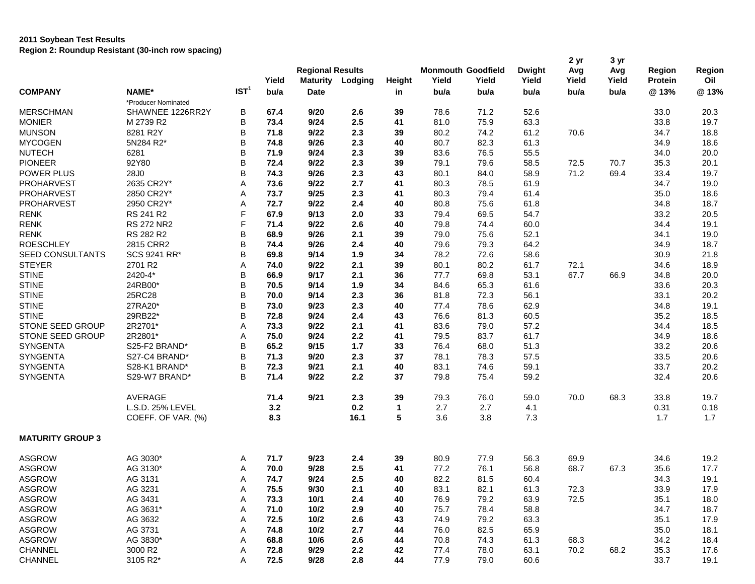| IST <sup>1</sup><br><b>COMPANY</b><br>NAME*<br>bu/a<br>@13%<br><b>Date</b><br>bu/a<br>bu/a<br>bu/a<br>bu/a<br>bu/a<br>in<br>*Producer Nominated<br><b>MERSCHMAN</b><br>SHAWNEE 1226RR2Y<br>В<br>71.2<br>52.6<br>67.4<br>9/20<br>2.6<br>39<br>78.6<br>33.0<br>20.3<br><b>MONIER</b><br>B<br>73.4<br>9/24<br>2.5<br>41<br>75.9<br>63.3<br>33.8<br>19.7<br>M 2739 R2<br>81.0<br><b>MUNSON</b><br>8281 R2Y<br>B<br>9/22<br>2.3<br>39<br>74.2<br>61.2<br>70.6<br>18.8<br>71.8<br>80.2<br>34.7<br><b>MYCOGEN</b><br>5N284 R2*<br>B<br>2.3<br>82.3<br>18.6<br>74.8<br>9/26<br>40<br>80.7<br>61.3<br>34.9<br><b>NUTECH</b><br>B<br>2.3<br>76.5<br>20.0<br>6281<br>71.9<br>9/24<br>39<br>83.6<br>55.5<br>34.0<br>B<br><b>PIONEER</b><br>92Y80<br>72.4<br>9/22<br>2.3<br>39<br>79.6<br>70.7<br>35.3<br>20.1<br>79.1<br>58.5<br>72.5<br>POWER PLUS<br>B<br>71.2<br>28J0<br>74.3<br>9/26<br>2.3<br>43<br>69.4<br>33.4<br>19.7<br>80.1<br>84.0<br>58.9<br>PROHARVEST<br>2635 CR2Y*<br>9/22<br>2.7<br>78.5<br>19.0<br>Α<br>73.6<br>41<br>80.3<br>61.9<br>34.7<br>PROHARVEST<br>2850 CR2Y*<br>9/25<br>2.3<br>80.3<br>79.4<br>35.0<br>18.6<br>73.7<br>41<br>61.4<br>Α<br>PROHARVEST<br>2950 CR2Y*<br>72.7<br>75.6<br>18.7<br>Α<br>9/22<br>2.4<br>40<br>80.8<br>61.8<br>34.8<br>F<br><b>RENK</b><br>RS 241 R2<br>67.9<br>9/13<br>2.0<br>33<br>69.5<br>54.7<br>33.2<br>20.5<br>79.4<br>F<br><b>RENK</b><br><b>RS 272 NR2</b><br>9/22<br>2.6<br>40<br>79.8<br>74.4<br>60.0<br>19.1<br>71.4<br>34.4<br><b>RENK</b><br>RS 282 R2<br>B<br>9/26<br>2.1<br>52.1<br>19.0<br>68.9<br>39<br>79.0<br>75.6<br>34.1<br>B<br><b>ROESCHLEY</b><br>2815 CRR2<br>79.3<br>18.7<br>74.4<br>9/26<br>2.4<br>40<br>79.6<br>64.2<br>34.9<br>B<br>SEED CONSULTANTS<br>SCS 9241 RR*<br>9/14<br>1.9<br>78.2<br>72.6<br>58.6<br>21.8<br>69.8<br>34<br>30.9<br><b>STEYER</b><br>2701 R2<br>9/22<br>2.1<br>39<br>80.1<br>80.2<br>72.1<br>18.9<br>Α<br>74.0<br>61.7<br>34.6<br>B<br><b>STINE</b><br>2420-4*<br>9/17<br>2.1<br>36<br>77.7<br>69.8<br>53.1<br>67.7<br>66.9<br>34.8<br>20.0<br>66.9<br>B<br><b>STINE</b><br>24RB00*<br>20.3<br>70.5<br>9/14<br>1.9<br>34<br>84.6<br>65.3<br>61.6<br>33.6<br>B<br><b>STINE</b><br>25RC28<br>2.3<br>36<br>81.8<br>72.3<br>56.1<br>33.1<br>20.2<br>70.0<br>9/14<br><b>STINE</b><br>27RA20*<br>B<br>73.0<br>9/23<br>2.3<br>40<br>77.4<br>78.6<br>62.9<br>34.8<br>19.1<br>29RB22*<br>B<br><b>STINE</b><br>9/24<br>2.4<br>76.6<br>60.5<br>35.2<br>18.5<br>72.8<br>43<br>81.3<br>STONE SEED GROUP<br>2R2701*<br>2.1<br>79.0<br>57.2<br>18.5<br>Α<br>73.3<br>9/22<br>41<br>83.6<br>34.4<br>2R2801*<br>83.7<br>61.7<br>18.6<br><b>STONE SEED GROUP</b><br>75.0<br>9/24<br>2.2<br>41<br>79.5<br>34.9<br>Α<br>B<br>SYNGENTA<br>S25-F2 BRAND*<br>65.2<br>$1.7$<br>51.3<br>33.2<br>20.6<br>9/15<br>33<br>76.4<br>68.0<br><b>SYNGENTA</b><br>B<br>S27-C4 BRAND*<br>71.3<br>9/20<br>2.3<br>37<br>78.1<br>78.3<br>33.5<br>20.6<br>57.5<br><b>SYNGENTA</b><br>B<br>S28-K1 BRAND*<br>9/21<br>2.1<br>40<br>74.6<br>59.1<br>20.2<br>72.3<br>83.1<br>33.7<br>SYNGENTA<br>S29-W7 BRAND*<br>B<br>71.4<br>9/22<br>2.2<br>37<br>75.4<br>59.2<br>32.4<br>20.6<br>79.8<br>AVERAGE<br>71.4<br>9/21<br>39<br>2.3<br>79.3<br>76.0<br>59.0<br>70.0<br>68.3<br>33.8<br>19.7<br>L.S.D. 25% LEVEL<br>3.2<br>0.2<br>2.7<br>2.7<br>0.18<br>1<br>4.1<br>0.31<br>5<br>COEFF. OF VAR. (%)<br>8.3<br>3.6<br>3.8<br>7.3<br>1.7<br>1.7<br>16.1<br><b>MATURITY GROUP 3</b><br><b>ASGROW</b><br>AG 3030*<br>9/23<br>39<br>80.9<br>77.9<br>56.3<br>69.9<br>34.6<br>19.2<br>71.7<br>2.4<br>Α<br><b>ASGROW</b><br>AG 3130*<br>70.0<br>9/28<br>2.5<br>77.2<br>76.1<br>56.8<br>68.7<br>67.3<br>35.6<br>17.7<br>41<br>Α<br><b>ASGROW</b><br>9/24<br>2.5<br>82.2<br>19.1<br>AG 3131<br>A<br>74.7<br>40<br>81.5<br>60.4<br>34.3<br><b>ASGROW</b><br>AG 3231<br>75.5<br>2.1<br>83.1<br>72.3<br>17.9<br>Α<br>9/30<br>40<br>82.1<br>61.3<br>33.9<br><b>ASGROW</b><br>AG 3431<br>73.3<br>2.4<br>79.2<br>63.9<br>72.5<br>35.1<br>Α<br>10/1<br>40<br>76.9<br>18.0<br><b>ASGROW</b><br>2.9<br>58.8<br>34.7<br>18.7<br>AG 3631*<br>Α<br>71.0<br>10/2<br>40<br>75.7<br>78.4<br><b>ASGROW</b><br>AG 3632<br>72.5<br>2.6<br>79.2<br>63.3<br>35.1<br>17.9<br>Α<br>10/2<br>43<br>74.9<br><b>ASGROW</b><br>18.1<br>AG 3731<br>Α<br>74.8<br>10/2<br>2.7<br>44<br>76.0<br>82.5<br>65.9<br>35.0<br><b>ASGROW</b><br>18.4<br>AG 3830*<br>Α<br>68.8<br>10/6<br>2.6<br>44<br>70.8<br>74.3<br>61.3<br>68.3<br>34.2<br>CHANNEL<br>3000 R2<br>$2.2\,$<br>68.2<br>35.3<br>17.6<br>Α<br>72.8<br>9/29<br>42<br>77.4<br>78.0<br>63.1<br>70.2<br>CHANNEL<br>3105 R2*<br>72.5<br>9/28<br>2.8<br>44<br>77.9<br>33.7<br>19.1<br>Α<br>79.0 |  | Yield | <b>Regional Results</b><br><b>Maturity</b> | Lodging | Height | <b>Monmouth Goodfield</b><br>Yield | Yield | <b>Dwight</b><br>Yield | 2 yr<br>Avg<br>Yield | 3 yr<br>Avg<br>Yield | Region<br><b>Protein</b> | Region<br>Oil |
|------------------------------------------------------------------------------------------------------------------------------------------------------------------------------------------------------------------------------------------------------------------------------------------------------------------------------------------------------------------------------------------------------------------------------------------------------------------------------------------------------------------------------------------------------------------------------------------------------------------------------------------------------------------------------------------------------------------------------------------------------------------------------------------------------------------------------------------------------------------------------------------------------------------------------------------------------------------------------------------------------------------------------------------------------------------------------------------------------------------------------------------------------------------------------------------------------------------------------------------------------------------------------------------------------------------------------------------------------------------------------------------------------------------------------------------------------------------------------------------------------------------------------------------------------------------------------------------------------------------------------------------------------------------------------------------------------------------------------------------------------------------------------------------------------------------------------------------------------------------------------------------------------------------------------------------------------------------------------------------------------------------------------------------------------------------------------------------------------------------------------------------------------------------------------------------------------------------------------------------------------------------------------------------------------------------------------------------------------------------------------------------------------------------------------------------------------------------------------------------------------------------------------------------------------------------------------------------------------------------------------------------------------------------------------------------------------------------------------------------------------------------------------------------------------------------------------------------------------------------------------------------------------------------------------------------------------------------------------------------------------------------------------------------------------------------------------------------------------------------------------------------------------------------------------------------------------------------------------------------------------------------------------------------------------------------------------------------------------------------------------------------------------------------------------------------------------------------------------------------------------------------------------------------------------------------------------------------------------------------------------------------------------------------------------------------------------------------------------------------------------------------------------------------------------------------------------------------------------------------------------------------------------------------------------------------------------------------------------------------------------------------------------------------------------------------------------------------------------------------------------------------------------------------------------------------------------------------------------------------------------------------------------------------------------------------------------------------------------------------------------------------------------------------------------------------------------------------------------------------------------------------------------------------------------------------------------------------------------------------------------------------------------|--|-------|--------------------------------------------|---------|--------|------------------------------------|-------|------------------------|----------------------|----------------------|--------------------------|---------------|
|                                                                                                                                                                                                                                                                                                                                                                                                                                                                                                                                                                                                                                                                                                                                                                                                                                                                                                                                                                                                                                                                                                                                                                                                                                                                                                                                                                                                                                                                                                                                                                                                                                                                                                                                                                                                                                                                                                                                                                                                                                                                                                                                                                                                                                                                                                                                                                                                                                                                                                                                                                                                                                                                                                                                                                                                                                                                                                                                                                                                                                                                                                                                                                                                                                                                                                                                                                                                                                                                                                                                                                                                                                                                                                                                                                                                                                                                                                                                                                                                                                                                                                                                                                                                                                                                                                                                                                                                                                                                                                                                                                                                                                                      |  |       |                                            |         |        |                                    |       |                        |                      |                      |                          | @13%          |
|                                                                                                                                                                                                                                                                                                                                                                                                                                                                                                                                                                                                                                                                                                                                                                                                                                                                                                                                                                                                                                                                                                                                                                                                                                                                                                                                                                                                                                                                                                                                                                                                                                                                                                                                                                                                                                                                                                                                                                                                                                                                                                                                                                                                                                                                                                                                                                                                                                                                                                                                                                                                                                                                                                                                                                                                                                                                                                                                                                                                                                                                                                                                                                                                                                                                                                                                                                                                                                                                                                                                                                                                                                                                                                                                                                                                                                                                                                                                                                                                                                                                                                                                                                                                                                                                                                                                                                                                                                                                                                                                                                                                                                                      |  |       |                                            |         |        |                                    |       |                        |                      |                      |                          |               |
|                                                                                                                                                                                                                                                                                                                                                                                                                                                                                                                                                                                                                                                                                                                                                                                                                                                                                                                                                                                                                                                                                                                                                                                                                                                                                                                                                                                                                                                                                                                                                                                                                                                                                                                                                                                                                                                                                                                                                                                                                                                                                                                                                                                                                                                                                                                                                                                                                                                                                                                                                                                                                                                                                                                                                                                                                                                                                                                                                                                                                                                                                                                                                                                                                                                                                                                                                                                                                                                                                                                                                                                                                                                                                                                                                                                                                                                                                                                                                                                                                                                                                                                                                                                                                                                                                                                                                                                                                                                                                                                                                                                                                                                      |  |       |                                            |         |        |                                    |       |                        |                      |                      |                          |               |
|                                                                                                                                                                                                                                                                                                                                                                                                                                                                                                                                                                                                                                                                                                                                                                                                                                                                                                                                                                                                                                                                                                                                                                                                                                                                                                                                                                                                                                                                                                                                                                                                                                                                                                                                                                                                                                                                                                                                                                                                                                                                                                                                                                                                                                                                                                                                                                                                                                                                                                                                                                                                                                                                                                                                                                                                                                                                                                                                                                                                                                                                                                                                                                                                                                                                                                                                                                                                                                                                                                                                                                                                                                                                                                                                                                                                                                                                                                                                                                                                                                                                                                                                                                                                                                                                                                                                                                                                                                                                                                                                                                                                                                                      |  |       |                                            |         |        |                                    |       |                        |                      |                      |                          |               |
|                                                                                                                                                                                                                                                                                                                                                                                                                                                                                                                                                                                                                                                                                                                                                                                                                                                                                                                                                                                                                                                                                                                                                                                                                                                                                                                                                                                                                                                                                                                                                                                                                                                                                                                                                                                                                                                                                                                                                                                                                                                                                                                                                                                                                                                                                                                                                                                                                                                                                                                                                                                                                                                                                                                                                                                                                                                                                                                                                                                                                                                                                                                                                                                                                                                                                                                                                                                                                                                                                                                                                                                                                                                                                                                                                                                                                                                                                                                                                                                                                                                                                                                                                                                                                                                                                                                                                                                                                                                                                                                                                                                                                                                      |  |       |                                            |         |        |                                    |       |                        |                      |                      |                          |               |
|                                                                                                                                                                                                                                                                                                                                                                                                                                                                                                                                                                                                                                                                                                                                                                                                                                                                                                                                                                                                                                                                                                                                                                                                                                                                                                                                                                                                                                                                                                                                                                                                                                                                                                                                                                                                                                                                                                                                                                                                                                                                                                                                                                                                                                                                                                                                                                                                                                                                                                                                                                                                                                                                                                                                                                                                                                                                                                                                                                                                                                                                                                                                                                                                                                                                                                                                                                                                                                                                                                                                                                                                                                                                                                                                                                                                                                                                                                                                                                                                                                                                                                                                                                                                                                                                                                                                                                                                                                                                                                                                                                                                                                                      |  |       |                                            |         |        |                                    |       |                        |                      |                      |                          |               |
|                                                                                                                                                                                                                                                                                                                                                                                                                                                                                                                                                                                                                                                                                                                                                                                                                                                                                                                                                                                                                                                                                                                                                                                                                                                                                                                                                                                                                                                                                                                                                                                                                                                                                                                                                                                                                                                                                                                                                                                                                                                                                                                                                                                                                                                                                                                                                                                                                                                                                                                                                                                                                                                                                                                                                                                                                                                                                                                                                                                                                                                                                                                                                                                                                                                                                                                                                                                                                                                                                                                                                                                                                                                                                                                                                                                                                                                                                                                                                                                                                                                                                                                                                                                                                                                                                                                                                                                                                                                                                                                                                                                                                                                      |  |       |                                            |         |        |                                    |       |                        |                      |                      |                          |               |
|                                                                                                                                                                                                                                                                                                                                                                                                                                                                                                                                                                                                                                                                                                                                                                                                                                                                                                                                                                                                                                                                                                                                                                                                                                                                                                                                                                                                                                                                                                                                                                                                                                                                                                                                                                                                                                                                                                                                                                                                                                                                                                                                                                                                                                                                                                                                                                                                                                                                                                                                                                                                                                                                                                                                                                                                                                                                                                                                                                                                                                                                                                                                                                                                                                                                                                                                                                                                                                                                                                                                                                                                                                                                                                                                                                                                                                                                                                                                                                                                                                                                                                                                                                                                                                                                                                                                                                                                                                                                                                                                                                                                                                                      |  |       |                                            |         |        |                                    |       |                        |                      |                      |                          |               |
|                                                                                                                                                                                                                                                                                                                                                                                                                                                                                                                                                                                                                                                                                                                                                                                                                                                                                                                                                                                                                                                                                                                                                                                                                                                                                                                                                                                                                                                                                                                                                                                                                                                                                                                                                                                                                                                                                                                                                                                                                                                                                                                                                                                                                                                                                                                                                                                                                                                                                                                                                                                                                                                                                                                                                                                                                                                                                                                                                                                                                                                                                                                                                                                                                                                                                                                                                                                                                                                                                                                                                                                                                                                                                                                                                                                                                                                                                                                                                                                                                                                                                                                                                                                                                                                                                                                                                                                                                                                                                                                                                                                                                                                      |  |       |                                            |         |        |                                    |       |                        |                      |                      |                          |               |
|                                                                                                                                                                                                                                                                                                                                                                                                                                                                                                                                                                                                                                                                                                                                                                                                                                                                                                                                                                                                                                                                                                                                                                                                                                                                                                                                                                                                                                                                                                                                                                                                                                                                                                                                                                                                                                                                                                                                                                                                                                                                                                                                                                                                                                                                                                                                                                                                                                                                                                                                                                                                                                                                                                                                                                                                                                                                                                                                                                                                                                                                                                                                                                                                                                                                                                                                                                                                                                                                                                                                                                                                                                                                                                                                                                                                                                                                                                                                                                                                                                                                                                                                                                                                                                                                                                                                                                                                                                                                                                                                                                                                                                                      |  |       |                                            |         |        |                                    |       |                        |                      |                      |                          |               |
|                                                                                                                                                                                                                                                                                                                                                                                                                                                                                                                                                                                                                                                                                                                                                                                                                                                                                                                                                                                                                                                                                                                                                                                                                                                                                                                                                                                                                                                                                                                                                                                                                                                                                                                                                                                                                                                                                                                                                                                                                                                                                                                                                                                                                                                                                                                                                                                                                                                                                                                                                                                                                                                                                                                                                                                                                                                                                                                                                                                                                                                                                                                                                                                                                                                                                                                                                                                                                                                                                                                                                                                                                                                                                                                                                                                                                                                                                                                                                                                                                                                                                                                                                                                                                                                                                                                                                                                                                                                                                                                                                                                                                                                      |  |       |                                            |         |        |                                    |       |                        |                      |                      |                          |               |
|                                                                                                                                                                                                                                                                                                                                                                                                                                                                                                                                                                                                                                                                                                                                                                                                                                                                                                                                                                                                                                                                                                                                                                                                                                                                                                                                                                                                                                                                                                                                                                                                                                                                                                                                                                                                                                                                                                                                                                                                                                                                                                                                                                                                                                                                                                                                                                                                                                                                                                                                                                                                                                                                                                                                                                                                                                                                                                                                                                                                                                                                                                                                                                                                                                                                                                                                                                                                                                                                                                                                                                                                                                                                                                                                                                                                                                                                                                                                                                                                                                                                                                                                                                                                                                                                                                                                                                                                                                                                                                                                                                                                                                                      |  |       |                                            |         |        |                                    |       |                        |                      |                      |                          |               |
|                                                                                                                                                                                                                                                                                                                                                                                                                                                                                                                                                                                                                                                                                                                                                                                                                                                                                                                                                                                                                                                                                                                                                                                                                                                                                                                                                                                                                                                                                                                                                                                                                                                                                                                                                                                                                                                                                                                                                                                                                                                                                                                                                                                                                                                                                                                                                                                                                                                                                                                                                                                                                                                                                                                                                                                                                                                                                                                                                                                                                                                                                                                                                                                                                                                                                                                                                                                                                                                                                                                                                                                                                                                                                                                                                                                                                                                                                                                                                                                                                                                                                                                                                                                                                                                                                                                                                                                                                                                                                                                                                                                                                                                      |  |       |                                            |         |        |                                    |       |                        |                      |                      |                          |               |
|                                                                                                                                                                                                                                                                                                                                                                                                                                                                                                                                                                                                                                                                                                                                                                                                                                                                                                                                                                                                                                                                                                                                                                                                                                                                                                                                                                                                                                                                                                                                                                                                                                                                                                                                                                                                                                                                                                                                                                                                                                                                                                                                                                                                                                                                                                                                                                                                                                                                                                                                                                                                                                                                                                                                                                                                                                                                                                                                                                                                                                                                                                                                                                                                                                                                                                                                                                                                                                                                                                                                                                                                                                                                                                                                                                                                                                                                                                                                                                                                                                                                                                                                                                                                                                                                                                                                                                                                                                                                                                                                                                                                                                                      |  |       |                                            |         |        |                                    |       |                        |                      |                      |                          |               |
|                                                                                                                                                                                                                                                                                                                                                                                                                                                                                                                                                                                                                                                                                                                                                                                                                                                                                                                                                                                                                                                                                                                                                                                                                                                                                                                                                                                                                                                                                                                                                                                                                                                                                                                                                                                                                                                                                                                                                                                                                                                                                                                                                                                                                                                                                                                                                                                                                                                                                                                                                                                                                                                                                                                                                                                                                                                                                                                                                                                                                                                                                                                                                                                                                                                                                                                                                                                                                                                                                                                                                                                                                                                                                                                                                                                                                                                                                                                                                                                                                                                                                                                                                                                                                                                                                                                                                                                                                                                                                                                                                                                                                                                      |  |       |                                            |         |        |                                    |       |                        |                      |                      |                          |               |
|                                                                                                                                                                                                                                                                                                                                                                                                                                                                                                                                                                                                                                                                                                                                                                                                                                                                                                                                                                                                                                                                                                                                                                                                                                                                                                                                                                                                                                                                                                                                                                                                                                                                                                                                                                                                                                                                                                                                                                                                                                                                                                                                                                                                                                                                                                                                                                                                                                                                                                                                                                                                                                                                                                                                                                                                                                                                                                                                                                                                                                                                                                                                                                                                                                                                                                                                                                                                                                                                                                                                                                                                                                                                                                                                                                                                                                                                                                                                                                                                                                                                                                                                                                                                                                                                                                                                                                                                                                                                                                                                                                                                                                                      |  |       |                                            |         |        |                                    |       |                        |                      |                      |                          |               |
|                                                                                                                                                                                                                                                                                                                                                                                                                                                                                                                                                                                                                                                                                                                                                                                                                                                                                                                                                                                                                                                                                                                                                                                                                                                                                                                                                                                                                                                                                                                                                                                                                                                                                                                                                                                                                                                                                                                                                                                                                                                                                                                                                                                                                                                                                                                                                                                                                                                                                                                                                                                                                                                                                                                                                                                                                                                                                                                                                                                                                                                                                                                                                                                                                                                                                                                                                                                                                                                                                                                                                                                                                                                                                                                                                                                                                                                                                                                                                                                                                                                                                                                                                                                                                                                                                                                                                                                                                                                                                                                                                                                                                                                      |  |       |                                            |         |        |                                    |       |                        |                      |                      |                          |               |
|                                                                                                                                                                                                                                                                                                                                                                                                                                                                                                                                                                                                                                                                                                                                                                                                                                                                                                                                                                                                                                                                                                                                                                                                                                                                                                                                                                                                                                                                                                                                                                                                                                                                                                                                                                                                                                                                                                                                                                                                                                                                                                                                                                                                                                                                                                                                                                                                                                                                                                                                                                                                                                                                                                                                                                                                                                                                                                                                                                                                                                                                                                                                                                                                                                                                                                                                                                                                                                                                                                                                                                                                                                                                                                                                                                                                                                                                                                                                                                                                                                                                                                                                                                                                                                                                                                                                                                                                                                                                                                                                                                                                                                                      |  |       |                                            |         |        |                                    |       |                        |                      |                      |                          |               |
|                                                                                                                                                                                                                                                                                                                                                                                                                                                                                                                                                                                                                                                                                                                                                                                                                                                                                                                                                                                                                                                                                                                                                                                                                                                                                                                                                                                                                                                                                                                                                                                                                                                                                                                                                                                                                                                                                                                                                                                                                                                                                                                                                                                                                                                                                                                                                                                                                                                                                                                                                                                                                                                                                                                                                                                                                                                                                                                                                                                                                                                                                                                                                                                                                                                                                                                                                                                                                                                                                                                                                                                                                                                                                                                                                                                                                                                                                                                                                                                                                                                                                                                                                                                                                                                                                                                                                                                                                                                                                                                                                                                                                                                      |  |       |                                            |         |        |                                    |       |                        |                      |                      |                          |               |
|                                                                                                                                                                                                                                                                                                                                                                                                                                                                                                                                                                                                                                                                                                                                                                                                                                                                                                                                                                                                                                                                                                                                                                                                                                                                                                                                                                                                                                                                                                                                                                                                                                                                                                                                                                                                                                                                                                                                                                                                                                                                                                                                                                                                                                                                                                                                                                                                                                                                                                                                                                                                                                                                                                                                                                                                                                                                                                                                                                                                                                                                                                                                                                                                                                                                                                                                                                                                                                                                                                                                                                                                                                                                                                                                                                                                                                                                                                                                                                                                                                                                                                                                                                                                                                                                                                                                                                                                                                                                                                                                                                                                                                                      |  |       |                                            |         |        |                                    |       |                        |                      |                      |                          |               |
|                                                                                                                                                                                                                                                                                                                                                                                                                                                                                                                                                                                                                                                                                                                                                                                                                                                                                                                                                                                                                                                                                                                                                                                                                                                                                                                                                                                                                                                                                                                                                                                                                                                                                                                                                                                                                                                                                                                                                                                                                                                                                                                                                                                                                                                                                                                                                                                                                                                                                                                                                                                                                                                                                                                                                                                                                                                                                                                                                                                                                                                                                                                                                                                                                                                                                                                                                                                                                                                                                                                                                                                                                                                                                                                                                                                                                                                                                                                                                                                                                                                                                                                                                                                                                                                                                                                                                                                                                                                                                                                                                                                                                                                      |  |       |                                            |         |        |                                    |       |                        |                      |                      |                          |               |
|                                                                                                                                                                                                                                                                                                                                                                                                                                                                                                                                                                                                                                                                                                                                                                                                                                                                                                                                                                                                                                                                                                                                                                                                                                                                                                                                                                                                                                                                                                                                                                                                                                                                                                                                                                                                                                                                                                                                                                                                                                                                                                                                                                                                                                                                                                                                                                                                                                                                                                                                                                                                                                                                                                                                                                                                                                                                                                                                                                                                                                                                                                                                                                                                                                                                                                                                                                                                                                                                                                                                                                                                                                                                                                                                                                                                                                                                                                                                                                                                                                                                                                                                                                                                                                                                                                                                                                                                                                                                                                                                                                                                                                                      |  |       |                                            |         |        |                                    |       |                        |                      |                      |                          |               |
|                                                                                                                                                                                                                                                                                                                                                                                                                                                                                                                                                                                                                                                                                                                                                                                                                                                                                                                                                                                                                                                                                                                                                                                                                                                                                                                                                                                                                                                                                                                                                                                                                                                                                                                                                                                                                                                                                                                                                                                                                                                                                                                                                                                                                                                                                                                                                                                                                                                                                                                                                                                                                                                                                                                                                                                                                                                                                                                                                                                                                                                                                                                                                                                                                                                                                                                                                                                                                                                                                                                                                                                                                                                                                                                                                                                                                                                                                                                                                                                                                                                                                                                                                                                                                                                                                                                                                                                                                                                                                                                                                                                                                                                      |  |       |                                            |         |        |                                    |       |                        |                      |                      |                          |               |
|                                                                                                                                                                                                                                                                                                                                                                                                                                                                                                                                                                                                                                                                                                                                                                                                                                                                                                                                                                                                                                                                                                                                                                                                                                                                                                                                                                                                                                                                                                                                                                                                                                                                                                                                                                                                                                                                                                                                                                                                                                                                                                                                                                                                                                                                                                                                                                                                                                                                                                                                                                                                                                                                                                                                                                                                                                                                                                                                                                                                                                                                                                                                                                                                                                                                                                                                                                                                                                                                                                                                                                                                                                                                                                                                                                                                                                                                                                                                                                                                                                                                                                                                                                                                                                                                                                                                                                                                                                                                                                                                                                                                                                                      |  |       |                                            |         |        |                                    |       |                        |                      |                      |                          |               |
|                                                                                                                                                                                                                                                                                                                                                                                                                                                                                                                                                                                                                                                                                                                                                                                                                                                                                                                                                                                                                                                                                                                                                                                                                                                                                                                                                                                                                                                                                                                                                                                                                                                                                                                                                                                                                                                                                                                                                                                                                                                                                                                                                                                                                                                                                                                                                                                                                                                                                                                                                                                                                                                                                                                                                                                                                                                                                                                                                                                                                                                                                                                                                                                                                                                                                                                                                                                                                                                                                                                                                                                                                                                                                                                                                                                                                                                                                                                                                                                                                                                                                                                                                                                                                                                                                                                                                                                                                                                                                                                                                                                                                                                      |  |       |                                            |         |        |                                    |       |                        |                      |                      |                          |               |
|                                                                                                                                                                                                                                                                                                                                                                                                                                                                                                                                                                                                                                                                                                                                                                                                                                                                                                                                                                                                                                                                                                                                                                                                                                                                                                                                                                                                                                                                                                                                                                                                                                                                                                                                                                                                                                                                                                                                                                                                                                                                                                                                                                                                                                                                                                                                                                                                                                                                                                                                                                                                                                                                                                                                                                                                                                                                                                                                                                                                                                                                                                                                                                                                                                                                                                                                                                                                                                                                                                                                                                                                                                                                                                                                                                                                                                                                                                                                                                                                                                                                                                                                                                                                                                                                                                                                                                                                                                                                                                                                                                                                                                                      |  |       |                                            |         |        |                                    |       |                        |                      |                      |                          |               |
|                                                                                                                                                                                                                                                                                                                                                                                                                                                                                                                                                                                                                                                                                                                                                                                                                                                                                                                                                                                                                                                                                                                                                                                                                                                                                                                                                                                                                                                                                                                                                                                                                                                                                                                                                                                                                                                                                                                                                                                                                                                                                                                                                                                                                                                                                                                                                                                                                                                                                                                                                                                                                                                                                                                                                                                                                                                                                                                                                                                                                                                                                                                                                                                                                                                                                                                                                                                                                                                                                                                                                                                                                                                                                                                                                                                                                                                                                                                                                                                                                                                                                                                                                                                                                                                                                                                                                                                                                                                                                                                                                                                                                                                      |  |       |                                            |         |        |                                    |       |                        |                      |                      |                          |               |
|                                                                                                                                                                                                                                                                                                                                                                                                                                                                                                                                                                                                                                                                                                                                                                                                                                                                                                                                                                                                                                                                                                                                                                                                                                                                                                                                                                                                                                                                                                                                                                                                                                                                                                                                                                                                                                                                                                                                                                                                                                                                                                                                                                                                                                                                                                                                                                                                                                                                                                                                                                                                                                                                                                                                                                                                                                                                                                                                                                                                                                                                                                                                                                                                                                                                                                                                                                                                                                                                                                                                                                                                                                                                                                                                                                                                                                                                                                                                                                                                                                                                                                                                                                                                                                                                                                                                                                                                                                                                                                                                                                                                                                                      |  |       |                                            |         |        |                                    |       |                        |                      |                      |                          |               |
|                                                                                                                                                                                                                                                                                                                                                                                                                                                                                                                                                                                                                                                                                                                                                                                                                                                                                                                                                                                                                                                                                                                                                                                                                                                                                                                                                                                                                                                                                                                                                                                                                                                                                                                                                                                                                                                                                                                                                                                                                                                                                                                                                                                                                                                                                                                                                                                                                                                                                                                                                                                                                                                                                                                                                                                                                                                                                                                                                                                                                                                                                                                                                                                                                                                                                                                                                                                                                                                                                                                                                                                                                                                                                                                                                                                                                                                                                                                                                                                                                                                                                                                                                                                                                                                                                                                                                                                                                                                                                                                                                                                                                                                      |  |       |                                            |         |        |                                    |       |                        |                      |                      |                          |               |
|                                                                                                                                                                                                                                                                                                                                                                                                                                                                                                                                                                                                                                                                                                                                                                                                                                                                                                                                                                                                                                                                                                                                                                                                                                                                                                                                                                                                                                                                                                                                                                                                                                                                                                                                                                                                                                                                                                                                                                                                                                                                                                                                                                                                                                                                                                                                                                                                                                                                                                                                                                                                                                                                                                                                                                                                                                                                                                                                                                                                                                                                                                                                                                                                                                                                                                                                                                                                                                                                                                                                                                                                                                                                                                                                                                                                                                                                                                                                                                                                                                                                                                                                                                                                                                                                                                                                                                                                                                                                                                                                                                                                                                                      |  |       |                                            |         |        |                                    |       |                        |                      |                      |                          |               |
|                                                                                                                                                                                                                                                                                                                                                                                                                                                                                                                                                                                                                                                                                                                                                                                                                                                                                                                                                                                                                                                                                                                                                                                                                                                                                                                                                                                                                                                                                                                                                                                                                                                                                                                                                                                                                                                                                                                                                                                                                                                                                                                                                                                                                                                                                                                                                                                                                                                                                                                                                                                                                                                                                                                                                                                                                                                                                                                                                                                                                                                                                                                                                                                                                                                                                                                                                                                                                                                                                                                                                                                                                                                                                                                                                                                                                                                                                                                                                                                                                                                                                                                                                                                                                                                                                                                                                                                                                                                                                                                                                                                                                                                      |  |       |                                            |         |        |                                    |       |                        |                      |                      |                          |               |
|                                                                                                                                                                                                                                                                                                                                                                                                                                                                                                                                                                                                                                                                                                                                                                                                                                                                                                                                                                                                                                                                                                                                                                                                                                                                                                                                                                                                                                                                                                                                                                                                                                                                                                                                                                                                                                                                                                                                                                                                                                                                                                                                                                                                                                                                                                                                                                                                                                                                                                                                                                                                                                                                                                                                                                                                                                                                                                                                                                                                                                                                                                                                                                                                                                                                                                                                                                                                                                                                                                                                                                                                                                                                                                                                                                                                                                                                                                                                                                                                                                                                                                                                                                                                                                                                                                                                                                                                                                                                                                                                                                                                                                                      |  |       |                                            |         |        |                                    |       |                        |                      |                      |                          |               |
|                                                                                                                                                                                                                                                                                                                                                                                                                                                                                                                                                                                                                                                                                                                                                                                                                                                                                                                                                                                                                                                                                                                                                                                                                                                                                                                                                                                                                                                                                                                                                                                                                                                                                                                                                                                                                                                                                                                                                                                                                                                                                                                                                                                                                                                                                                                                                                                                                                                                                                                                                                                                                                                                                                                                                                                                                                                                                                                                                                                                                                                                                                                                                                                                                                                                                                                                                                                                                                                                                                                                                                                                                                                                                                                                                                                                                                                                                                                                                                                                                                                                                                                                                                                                                                                                                                                                                                                                                                                                                                                                                                                                                                                      |  |       |                                            |         |        |                                    |       |                        |                      |                      |                          |               |
|                                                                                                                                                                                                                                                                                                                                                                                                                                                                                                                                                                                                                                                                                                                                                                                                                                                                                                                                                                                                                                                                                                                                                                                                                                                                                                                                                                                                                                                                                                                                                                                                                                                                                                                                                                                                                                                                                                                                                                                                                                                                                                                                                                                                                                                                                                                                                                                                                                                                                                                                                                                                                                                                                                                                                                                                                                                                                                                                                                                                                                                                                                                                                                                                                                                                                                                                                                                                                                                                                                                                                                                                                                                                                                                                                                                                                                                                                                                                                                                                                                                                                                                                                                                                                                                                                                                                                                                                                                                                                                                                                                                                                                                      |  |       |                                            |         |        |                                    |       |                        |                      |                      |                          |               |
|                                                                                                                                                                                                                                                                                                                                                                                                                                                                                                                                                                                                                                                                                                                                                                                                                                                                                                                                                                                                                                                                                                                                                                                                                                                                                                                                                                                                                                                                                                                                                                                                                                                                                                                                                                                                                                                                                                                                                                                                                                                                                                                                                                                                                                                                                                                                                                                                                                                                                                                                                                                                                                                                                                                                                                                                                                                                                                                                                                                                                                                                                                                                                                                                                                                                                                                                                                                                                                                                                                                                                                                                                                                                                                                                                                                                                                                                                                                                                                                                                                                                                                                                                                                                                                                                                                                                                                                                                                                                                                                                                                                                                                                      |  |       |                                            |         |        |                                    |       |                        |                      |                      |                          |               |
|                                                                                                                                                                                                                                                                                                                                                                                                                                                                                                                                                                                                                                                                                                                                                                                                                                                                                                                                                                                                                                                                                                                                                                                                                                                                                                                                                                                                                                                                                                                                                                                                                                                                                                                                                                                                                                                                                                                                                                                                                                                                                                                                                                                                                                                                                                                                                                                                                                                                                                                                                                                                                                                                                                                                                                                                                                                                                                                                                                                                                                                                                                                                                                                                                                                                                                                                                                                                                                                                                                                                                                                                                                                                                                                                                                                                                                                                                                                                                                                                                                                                                                                                                                                                                                                                                                                                                                                                                                                                                                                                                                                                                                                      |  |       |                                            |         |        |                                    |       |                        |                      |                      |                          |               |
|                                                                                                                                                                                                                                                                                                                                                                                                                                                                                                                                                                                                                                                                                                                                                                                                                                                                                                                                                                                                                                                                                                                                                                                                                                                                                                                                                                                                                                                                                                                                                                                                                                                                                                                                                                                                                                                                                                                                                                                                                                                                                                                                                                                                                                                                                                                                                                                                                                                                                                                                                                                                                                                                                                                                                                                                                                                                                                                                                                                                                                                                                                                                                                                                                                                                                                                                                                                                                                                                                                                                                                                                                                                                                                                                                                                                                                                                                                                                                                                                                                                                                                                                                                                                                                                                                                                                                                                                                                                                                                                                                                                                                                                      |  |       |                                            |         |        |                                    |       |                        |                      |                      |                          |               |
|                                                                                                                                                                                                                                                                                                                                                                                                                                                                                                                                                                                                                                                                                                                                                                                                                                                                                                                                                                                                                                                                                                                                                                                                                                                                                                                                                                                                                                                                                                                                                                                                                                                                                                                                                                                                                                                                                                                                                                                                                                                                                                                                                                                                                                                                                                                                                                                                                                                                                                                                                                                                                                                                                                                                                                                                                                                                                                                                                                                                                                                                                                                                                                                                                                                                                                                                                                                                                                                                                                                                                                                                                                                                                                                                                                                                                                                                                                                                                                                                                                                                                                                                                                                                                                                                                                                                                                                                                                                                                                                                                                                                                                                      |  |       |                                            |         |        |                                    |       |                        |                      |                      |                          |               |
|                                                                                                                                                                                                                                                                                                                                                                                                                                                                                                                                                                                                                                                                                                                                                                                                                                                                                                                                                                                                                                                                                                                                                                                                                                                                                                                                                                                                                                                                                                                                                                                                                                                                                                                                                                                                                                                                                                                                                                                                                                                                                                                                                                                                                                                                                                                                                                                                                                                                                                                                                                                                                                                                                                                                                                                                                                                                                                                                                                                                                                                                                                                                                                                                                                                                                                                                                                                                                                                                                                                                                                                                                                                                                                                                                                                                                                                                                                                                                                                                                                                                                                                                                                                                                                                                                                                                                                                                                                                                                                                                                                                                                                                      |  |       |                                            |         |        |                                    |       |                        |                      |                      |                          |               |
|                                                                                                                                                                                                                                                                                                                                                                                                                                                                                                                                                                                                                                                                                                                                                                                                                                                                                                                                                                                                                                                                                                                                                                                                                                                                                                                                                                                                                                                                                                                                                                                                                                                                                                                                                                                                                                                                                                                                                                                                                                                                                                                                                                                                                                                                                                                                                                                                                                                                                                                                                                                                                                                                                                                                                                                                                                                                                                                                                                                                                                                                                                                                                                                                                                                                                                                                                                                                                                                                                                                                                                                                                                                                                                                                                                                                                                                                                                                                                                                                                                                                                                                                                                                                                                                                                                                                                                                                                                                                                                                                                                                                                                                      |  |       |                                            |         |        |                                    |       |                        |                      |                      |                          |               |
|                                                                                                                                                                                                                                                                                                                                                                                                                                                                                                                                                                                                                                                                                                                                                                                                                                                                                                                                                                                                                                                                                                                                                                                                                                                                                                                                                                                                                                                                                                                                                                                                                                                                                                                                                                                                                                                                                                                                                                                                                                                                                                                                                                                                                                                                                                                                                                                                                                                                                                                                                                                                                                                                                                                                                                                                                                                                                                                                                                                                                                                                                                                                                                                                                                                                                                                                                                                                                                                                                                                                                                                                                                                                                                                                                                                                                                                                                                                                                                                                                                                                                                                                                                                                                                                                                                                                                                                                                                                                                                                                                                                                                                                      |  |       |                                            |         |        |                                    |       |                        |                      |                      |                          |               |
|                                                                                                                                                                                                                                                                                                                                                                                                                                                                                                                                                                                                                                                                                                                                                                                                                                                                                                                                                                                                                                                                                                                                                                                                                                                                                                                                                                                                                                                                                                                                                                                                                                                                                                                                                                                                                                                                                                                                                                                                                                                                                                                                                                                                                                                                                                                                                                                                                                                                                                                                                                                                                                                                                                                                                                                                                                                                                                                                                                                                                                                                                                                                                                                                                                                                                                                                                                                                                                                                                                                                                                                                                                                                                                                                                                                                                                                                                                                                                                                                                                                                                                                                                                                                                                                                                                                                                                                                                                                                                                                                                                                                                                                      |  |       |                                            |         |        |                                    |       |                        |                      |                      |                          |               |
|                                                                                                                                                                                                                                                                                                                                                                                                                                                                                                                                                                                                                                                                                                                                                                                                                                                                                                                                                                                                                                                                                                                                                                                                                                                                                                                                                                                                                                                                                                                                                                                                                                                                                                                                                                                                                                                                                                                                                                                                                                                                                                                                                                                                                                                                                                                                                                                                                                                                                                                                                                                                                                                                                                                                                                                                                                                                                                                                                                                                                                                                                                                                                                                                                                                                                                                                                                                                                                                                                                                                                                                                                                                                                                                                                                                                                                                                                                                                                                                                                                                                                                                                                                                                                                                                                                                                                                                                                                                                                                                                                                                                                                                      |  |       |                                            |         |        |                                    |       |                        |                      |                      |                          |               |
|                                                                                                                                                                                                                                                                                                                                                                                                                                                                                                                                                                                                                                                                                                                                                                                                                                                                                                                                                                                                                                                                                                                                                                                                                                                                                                                                                                                                                                                                                                                                                                                                                                                                                                                                                                                                                                                                                                                                                                                                                                                                                                                                                                                                                                                                                                                                                                                                                                                                                                                                                                                                                                                                                                                                                                                                                                                                                                                                                                                                                                                                                                                                                                                                                                                                                                                                                                                                                                                                                                                                                                                                                                                                                                                                                                                                                                                                                                                                                                                                                                                                                                                                                                                                                                                                                                                                                                                                                                                                                                                                                                                                                                                      |  |       |                                            |         |        |                                    |       | 60.6                   |                      |                      |                          |               |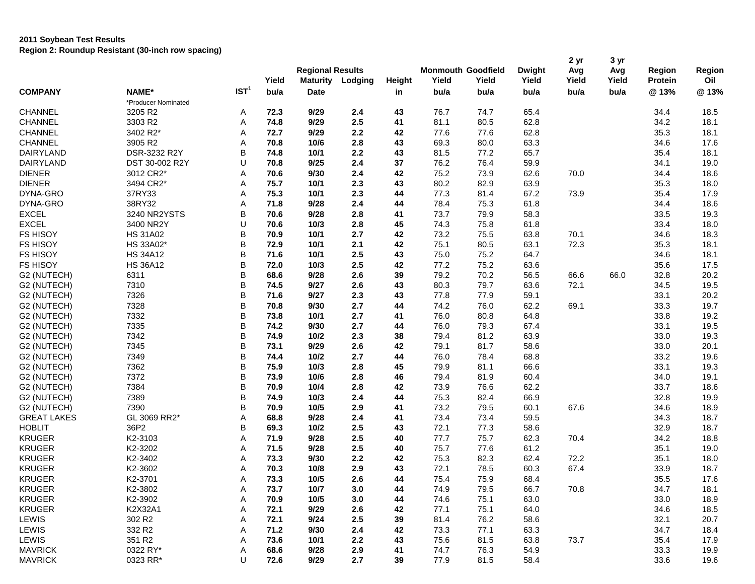|                    |                     |                  | Yield | <b>Regional Results</b><br><b>Maturity</b> | Lodging | Height | Yield | <b>Monmouth Goodfield</b><br>Yield | <b>Dwight</b><br>Yield | 2 yr<br>Avg<br>Yield | 3 yr<br>Avg<br>Yield | Region<br>Protein | Region<br>Oil |
|--------------------|---------------------|------------------|-------|--------------------------------------------|---------|--------|-------|------------------------------------|------------------------|----------------------|----------------------|-------------------|---------------|
| <b>COMPANY</b>     | NAME*               | IST <sup>1</sup> | bu/a  | Date                                       |         | in     | bu/a  | bu/a                               | bu/a                   | bu/a                 | bu/a                 | @13%              | @13%          |
|                    | *Producer Nominated |                  |       |                                            |         |        |       |                                    |                        |                      |                      |                   |               |
| <b>CHANNEL</b>     | 3205 R2             | Α                | 72.3  | 9/29                                       | 2.4     | 43     | 76.7  | 74.7                               | 65.4                   |                      |                      | 34.4              | 18.5          |
| <b>CHANNEL</b>     | 3303 R2             | Α                | 74.8  | 9/29                                       | 2.5     | 41     | 81.1  | 80.5                               | 62.8                   |                      |                      | 34.2              | 18.1          |
| <b>CHANNEL</b>     | 3402 R2*            | Α                | 72.7  | 9/29                                       | 2.2     | 42     | 77.6  | 77.6                               | 62.8                   |                      |                      | 35.3              | 18.1          |
| <b>CHANNEL</b>     | 3905 R2             | Α                | 70.8  | 10/6                                       | 2.8     | 43     | 69.3  | 80.0                               | 63.3                   |                      |                      | 34.6              | 17.6          |
| DAIRYLAND          | DSR-3232 R2Y        | В                | 74.8  | 10/1                                       | 2.2     | 43     | 81.5  | 77.2                               | 65.7                   |                      |                      | 35.4              | 18.1          |
| <b>DAIRYLAND</b>   | DST 30-002 R2Y      | U                | 70.8  | 9/25                                       | 2.4     | 37     | 76.2  | 76.4                               | 59.9                   |                      |                      | 34.1              | 19.0          |
| <b>DIENER</b>      | 3012 CR2*           | Α                | 70.6  | 9/30                                       | 2.4     | 42     | 75.2  | 73.9                               | 62.6                   | 70.0                 |                      | 34.4              | 18.6          |
| <b>DIENER</b>      | 3494 CR2*           | Α                | 75.7  | 10/1                                       | 2.3     | 43     | 80.2  | 82.9                               | 63.9                   |                      |                      | 35.3              | 18.0          |
| DYNA-GRO           | 37RY33              | Α                | 75.3  | 10/1                                       | 2.3     | 44     | 77.3  | 81.4                               | 67.2                   | 73.9                 |                      | 35.4              | 17.9          |
| DYNA-GRO           | 38RY32              | Α                | 71.8  | 9/28                                       | 2.4     | 44     | 78.4  | 75.3                               | 61.8                   |                      |                      | 34.4              | 18.6          |
| <b>EXCEL</b>       | 3240 NR2YSTS        | B                | 70.6  | 9/28                                       | 2.8     | 41     | 73.7  | 79.9                               | 58.3                   |                      |                      | 33.5              | 19.3          |
| <b>EXCEL</b>       | 3400 NR2Y           | U                | 70.6  | 10/3                                       | 2.8     | 45     | 74.3  | 75.8                               | 61.8                   |                      |                      | 33.4              | 18.0          |
| <b>FS HISOY</b>    | <b>HS 31A02</b>     | B                | 70.9  | 10/1                                       | 2.7     | 42     | 73.2  | 75.5                               | 63.8                   | 70.1                 |                      | 34.6              | 18.3          |
| <b>FS HISOY</b>    | HS 33A02*           | B                | 72.9  | 10/1                                       | 2.1     | 42     | 75.1  | 80.5                               | 63.1                   | 72.3                 |                      | 35.3              | 18.1          |
| <b>FS HISOY</b>    | <b>HS 34A12</b>     | B                | 71.6  | 10/1                                       | 2.5     | 43     | 75.0  | 75.2                               | 64.7                   |                      |                      | 34.6              | 18.1          |
| <b>FS HISOY</b>    | <b>HS 36A12</b>     | B                | 72.0  | 10/3                                       | 2.5     | 42     | 77.2  | 75.2                               | 63.6                   |                      |                      | 35.6              | 17.5          |
| G2 (NUTECH)        | 6311                | B                | 68.6  | 9/28                                       | 2.6     | 39     | 79.2  | 70.2                               | 56.5                   |                      | 66.0                 | 32.8              | 20.2          |
|                    | 7310                | B                | 74.5  | 9/27                                       | 2.6     | 43     | 80.3  | 79.7                               |                        | 66.6<br>72.1         |                      |                   | 19.5          |
| G2 (NUTECH)        |                     |                  |       |                                            |         |        |       |                                    | 63.6                   |                      |                      | 34.5              |               |
| G2 (NUTECH)        | 7326                | B                | 71.6  | 9/27                                       | 2.3     | 43     | 77.8  | 77.9                               | 59.1                   |                      |                      | 33.1              | 20.2          |
| G2 (NUTECH)        | 7328                | B                | 70.8  | 9/30                                       | 2.7     | 44     | 74.2  | 76.0                               | 62.2                   | 69.1                 |                      | 33.3              | 19.7          |
| G2 (NUTECH)        | 7332                | B                | 73.8  | 10/1                                       | 2.7     | 41     | 76.0  | 80.8                               | 64.8                   |                      |                      | 33.8              | 19.2          |
| G2 (NUTECH)        | 7335                | B                | 74.2  | 9/30                                       | 2.7     | 44     | 76.0  | 79.3                               | 67.4                   |                      |                      | 33.1              | 19.5          |
| G2 (NUTECH)        | 7342                | B                | 74.9  | 10/2                                       | 2.3     | 38     | 79.4  | 81.2                               | 63.9                   |                      |                      | 33.0              | 19.3          |
| G2 (NUTECH)        | 7345                | B                | 73.1  | 9/29                                       | 2.6     | 42     | 79.1  | 81.7                               | 58.6                   |                      |                      | 33.0              | 20.1          |
| G2 (NUTECH)        | 7349                | B                | 74.4  | $10/2$                                     | 2.7     | 44     | 76.0  | 78.4                               | 68.8                   |                      |                      | 33.2              | 19.6          |
| G2 (NUTECH)        | 7362                | B                | 75.9  | 10/3                                       | 2.8     | 45     | 79.9  | 81.1                               | 66.6                   |                      |                      | 33.1              | 19.3          |
| G2 (NUTECH)        | 7372                | B                | 73.9  | 10/6                                       | 2.8     | 46     | 79.4  | 81.9                               | 60.4                   |                      |                      | 34.0              | 19.1          |
| G2 (NUTECH)        | 7384                | B                | 70.9  | 10/4                                       | 2.8     | 42     | 73.9  | 76.6                               | 62.2                   |                      |                      | 33.7              | 18.6          |
| G2 (NUTECH)        | 7389                | В                | 74.9  | 10/3                                       | 2.4     | 44     | 75.3  | 82.4                               | 66.9                   |                      |                      | 32.8              | 19.9          |
| G2 (NUTECH)        | 7390                | B                | 70.9  | 10/5                                       | 2.9     | 41     | 73.2  | 79.5                               | 60.1                   | 67.6                 |                      | 34.6              | 18.9          |
| <b>GREAT LAKES</b> | GL 3069 RR2*        | Α                | 68.8  | 9/28                                       | 2.4     | 41     | 73.4  | 73.4                               | 59.5                   |                      |                      | 34.3              | 18.7          |
| <b>HOBLIT</b>      | 36P2                | В                | 69.3  | 10/2                                       | 2.5     | 43     | 72.1  | 77.3                               | 58.6                   |                      |                      | 32.9              | 18.7          |
| <b>KRUGER</b>      | K2-3103             | Α                | 71.9  | 9/28                                       | 2.5     | 40     | 77.7  | 75.7                               | 62.3                   | 70.4                 |                      | 34.2              | 18.8          |
| <b>KRUGER</b>      | K2-3202             | Α                | 71.5  | 9/28                                       | 2.5     | 40     | 75.7  | 77.6                               | 61.2                   |                      |                      | 35.1              | 19.0          |
| <b>KRUGER</b>      | K2-3402             | Α                | 73.3  | 9/30                                       | 2.2     | 42     | 75.3  | 82.3                               | 62.4                   | 72.2                 |                      | 35.1              | 18.0          |
| <b>KRUGER</b>      | K2-3602             | Α                | 70.3  | 10/8                                       | 2.9     | 43     | 72.1  | 78.5                               | 60.3                   | 67.4                 |                      | 33.9              | 18.7          |
| <b>KRUGER</b>      | K2-3701             | A                | 73.3  | 10/5                                       | 2.6     | 44     | 75.4  | 75.9                               | 68.4                   |                      |                      | 35.5              | 17.6          |
| <b>KRUGER</b>      | K2-3802             | Α                | 73.7  | 10/7                                       | 3.0     | 44     | 74.9  | 79.5                               | 66.7                   | 70.8                 |                      | 34.7              | 18.1          |
| <b>KRUGER</b>      | K2-3902             | Α                | 70.9  | 10/5                                       | 3.0     | 44     | 74.6  | 75.1                               | 63.0                   |                      |                      | 33.0              | 18.9          |
| <b>KRUGER</b>      | K2X32A1             | Α                | 72.1  | 9/29                                       | 2.6     | 42     | 77.1  | 75.1                               | 64.0                   |                      |                      | 34.6              | 18.5          |
| LEWIS              | 302 R <sub>2</sub>  | Α                | 72.1  | 9/24                                       | 2.5     | 39     | 81.4  | 76.2                               | 58.6                   |                      |                      | 32.1              | 20.7          |
| LEWIS              | 332 R2              | Α                | 71.2  | 9/30                                       | 2.4     | 42     | 73.3  | 77.1                               | 63.3                   |                      |                      | 34.7              | 18.4          |
| LEWIS              | 351 R2              | Α                | 73.6  | 10/1                                       | 2.2     | 43     | 75.6  | 81.5                               | 63.8                   | 73.7                 |                      | 35.4              | 17.9          |
| <b>MAVRICK</b>     | 0322 RY*            | Α                | 68.6  | 9/28                                       | 2.9     | 41     | 74.7  | 76.3                               | 54.9                   |                      |                      | 33.3              | 19.9          |
| <b>MAVRICK</b>     | 0323 RR*            | U                | 72.6  | 9/29                                       | 2.7     | 39     | 77.9  | 81.5                               | 58.4                   |                      |                      | 33.6              | 19.6          |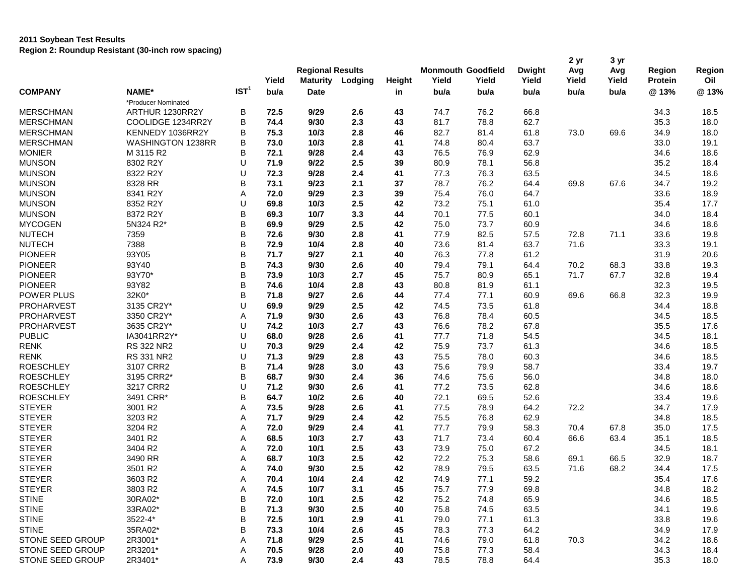|                  |                     |                  | Yield | <b>Regional Results</b><br><b>Maturity</b> | Lodging | Height | <b>Monmouth Goodfield</b><br>Yield | Yield | <b>Dwight</b><br>Yield | 2 yr<br>Avg<br>Yield | 3 yr<br>Avg<br>Yield | Region<br>Protein | Region<br>Oil |
|------------------|---------------------|------------------|-------|--------------------------------------------|---------|--------|------------------------------------|-------|------------------------|----------------------|----------------------|-------------------|---------------|
| <b>COMPANY</b>   | NAME*               | IST <sup>1</sup> | bu/a  | <b>Date</b>                                |         | in     | bu/a                               | bu/a  | bu/a                   | bu/a                 | bu/a                 | @13%              | @13%          |
|                  | *Producer Nominated |                  |       |                                            |         |        |                                    |       |                        |                      |                      |                   |               |
| <b>MERSCHMAN</b> | ARTHUR 1230RR2Y     | B                | 72.5  | 9/29                                       | 2.6     | 43     | 74.7                               | 76.2  | 66.8                   |                      |                      | 34.3              | 18.5          |
| <b>MERSCHMAN</b> | COOLIDGE 1234RR2Y   | В                | 74.4  | 9/30                                       | 2.3     | 43     | 81.7                               | 78.8  | 62.7                   |                      |                      | 35.3              | 18.0          |
| <b>MERSCHMAN</b> | KENNEDY 1036RR2Y    | В                | 75.3  | 10/3                                       | 2.8     | 46     | 82.7                               | 81.4  | 61.8                   | 73.0                 | 69.6                 | 34.9              | 18.0          |
| <b>MERSCHMAN</b> | WASHINGTON 1238RR   | В                | 73.0  | 10/3                                       | 2.8     | 41     | 74.8                               | 80.4  | 63.7                   |                      |                      | 33.0              | 19.1          |
| <b>MONIER</b>    | M 3115 R2           | В                | 72.1  | 9/28                                       | 2.4     | 43     | 76.5                               | 76.9  | 62.9                   |                      |                      | 34.6              | 18.6          |
| <b>MUNSON</b>    | 8302 R2Y            | U                | 71.9  | 9/22                                       | 2.5     | 39     | 80.9                               | 78.1  | 56.8                   |                      |                      | 35.2              | 18.4          |
| <b>MUNSON</b>    | 8322 R2Y            | U                | 72.3  | 9/28                                       | 2.4     | 41     | 77.3                               | 76.3  | 63.5                   |                      |                      | 34.5              | 18.6          |
| <b>MUNSON</b>    | 8328 RR             | В                | 73.1  | 9/23                                       | 2.1     | 37     | 78.7                               | 76.2  | 64.4                   | 69.8                 | 67.6                 | 34.7              | 19.2          |
| <b>MUNSON</b>    | 8341 R2Y            | Α                | 72.0  | 9/29                                       | 2.3     | 39     | 75.4                               | 76.0  | 64.7                   |                      |                      | 33.6              | 18.9          |
| <b>MUNSON</b>    | 8352 R2Y            | U                | 69.8  | 10/3                                       | 2.5     | 42     | 73.2                               | 75.1  | 61.0                   |                      |                      | 35.4              | 17.7          |
| <b>MUNSON</b>    | 8372 R2Y            | В                | 69.3  | 10/7                                       | 3.3     | 44     | 70.1                               | 77.5  | 60.1                   |                      |                      | 34.0              | 18.4          |
| <b>MYCOGEN</b>   | 5N324 R2*           | B                | 69.9  | 9/29                                       | 2.5     | 42     | 75.0                               | 73.7  | 60.9                   |                      |                      | 34.6              | 18.6          |
| <b>NUTECH</b>    | 7359                | B                | 72.6  | 9/30                                       | 2.8     | 41     | 77.9                               | 82.5  | 57.5                   | 72.8                 | 71.1                 | 33.6              | 19.8          |
| <b>NUTECH</b>    | 7388                | B                | 72.9  | 10/4                                       | 2.8     | 40     | 73.6                               | 81.4  | 63.7                   | 71.6                 |                      | 33.3              | 19.1          |
| <b>PIONEER</b>   | 93Y05               | B                | 71.7  | 9/27                                       | 2.1     | 40     | 76.3                               | 77.8  | 61.2                   |                      |                      | 31.9              | 20.6          |
| <b>PIONEER</b>   | 93Y40               | B                | 74.3  | 9/30                                       | 2.6     | 40     | 79.4                               | 79.1  | 64.4                   | 70.2                 | 68.3                 | 33.8              | 19.3          |
| <b>PIONEER</b>   | 93Y70*              | В                | 73.9  | 10/3                                       | 2.7     | 45     | 75.7                               | 80.9  | 65.1                   | 71.7                 | 67.7                 | 32.8              | 19.4          |
| <b>PIONEER</b>   | 93Y82               | В                | 74.6  | 10/4                                       | 2.8     | 43     | 80.8                               | 81.9  | 61.1                   |                      |                      | 32.3              | 19.5          |
| POWER PLUS       | 32K0*               | В                | 71.8  | 9/27                                       | 2.6     | 44     | 77.4                               | 77.1  | 60.9                   | 69.6                 | 66.8                 | 32.3              | 19.9          |
| PROHARVEST       | 3135 CR2Y*          | U                | 69.9  | 9/29                                       | 2.5     | 42     | 74.5                               | 73.5  | 61.8                   |                      |                      | 34.4              | 18.8          |
| PROHARVEST       | 3350 CR2Y*          | Α                | 71.9  | 9/30                                       | 2.6     | 43     | 76.8                               | 78.4  | 60.5                   |                      |                      | 34.5              | 18.5          |
| PROHARVEST       | 3635 CR2Y*          | U                | 74.2  | 10/3                                       | 2.7     | 43     | 76.6                               | 78.2  | 67.8                   |                      |                      | 35.5              | 17.6          |
| <b>PUBLIC</b>    | IA3041RR2Y*         | U                | 68.0  | 9/28                                       | 2.6     | 41     | 77.7                               | 71.8  | 54.5                   |                      |                      | 34.5              | 18.1          |
| <b>RENK</b>      | <b>RS 322 NR2</b>   | U                | 70.3  | 9/29                                       | 2.4     | 42     | 75.9                               | 73.7  | 61.3                   |                      |                      | 34.6              | 18.5          |
| <b>RENK</b>      | RS 331 NR2          | U                | 71.3  | 9/29                                       | 2.8     | 43     | 75.5                               | 78.0  | 60.3                   |                      |                      | 34.6              | 18.5          |
| <b>ROESCHLEY</b> | 3107 CRR2           | В                | 71.4  | 9/28                                       | 3.0     | 43     | 75.6                               | 79.9  | 58.7                   |                      |                      | 33.4              | 19.7          |
| <b>ROESCHLEY</b> | 3195 CRR2*          | В                | 68.7  | 9/30                                       | 2.4     | 36     | 74.6                               | 75.6  | 56.0                   |                      |                      | 34.8              | 18.0          |
| <b>ROESCHLEY</b> | 3217 CRR2           | U                | 71.2  | 9/30                                       | 2.6     | 41     | 77.2                               | 73.5  | 62.8                   |                      |                      | 34.6              | 18.6          |
| <b>ROESCHLEY</b> | 3491 CRR*           | B                | 64.7  | 10/2                                       | 2.6     | 40     | 72.1                               | 69.5  | 52.6                   |                      |                      | 33.4              | 19.6          |
| <b>STEYER</b>    | 3001 R2             | Α                | 73.5  | 9/28                                       | 2.6     | 41     | 77.5                               | 78.9  | 64.2                   | 72.2                 |                      | 34.7              | 17.9          |
| <b>STEYER</b>    | 3203 R2             | Α                | 71.7  | 9/29                                       | 2.4     | 42     | 75.5                               | 76.8  | 62.9                   |                      |                      | 34.8              | 18.5          |
| <b>STEYER</b>    | 3204 R2             | Α                | 72.0  | 9/29                                       | 2.4     | 41     | 77.7                               | 79.9  | 58.3                   | 70.4                 | 67.8                 | 35.0              | 17.5          |
| <b>STEYER</b>    | 3401 R2             | Α                | 68.5  | 10/3                                       | 2.7     | 43     | 71.7                               | 73.4  | 60.4                   | 66.6                 | 63.4                 | 35.1              | 18.5          |
| <b>STEYER</b>    | 3404 R2             | Α                | 72.0  | 10/1                                       | 2.5     | 43     | 73.9                               | 75.0  | 67.2                   |                      |                      | 34.5              | 18.1          |
| <b>STEYER</b>    | 3490 RR             | Α                | 68.7  | 10/3                                       | 2.5     | 42     | 72.2                               | 75.3  | 58.6                   | 69.1                 | 66.5                 | 32.9              | 18.7          |
| <b>STEYER</b>    | 3501 R2             | Α                | 74.0  | 9/30                                       | 2.5     | 42     | 78.9                               | 79.5  | 63.5                   | 71.6                 | 68.2                 | 34.4              | 17.5          |
| <b>STEYER</b>    | 3603 R2             | A                | 70.4  | 10/4                                       | 2.4     | 42     | 74.9                               | 77.1  | 59.2                   |                      |                      | 35.4              | 17.6          |
| <b>STEYER</b>    | 3803 R2             | Α                | 74.5  | 10/7                                       | 3.1     | 45     | 75.7                               | 77.9  | 69.8                   |                      |                      | 34.8              | 18.2          |
| <b>STINE</b>     | 30RA02*             | B                | 72.0  | 10/1                                       | 2.5     | 42     | 75.2                               | 74.8  | 65.9                   |                      |                      | 34.6              | 18.5          |
| <b>STINE</b>     | 33RA02*             | В                | 71.3  | 9/30                                       | 2.5     | 40     | 75.8                               | 74.5  | 63.5                   |                      |                      | 34.1              | 19.6          |
| <b>STINE</b>     | 3522-4*             | В                | 72.5  | 10/1                                       | 2.9     | 41     | 79.0                               | 77.1  | 61.3                   |                      |                      | 33.8              | 19.6          |
| <b>STINE</b>     | 35RA02*             | В                | 73.3  | 10/4                                       | 2.6     | 45     | 78.3                               | 77.3  | 64.2                   |                      |                      | 34.9              | 17.9          |
| STONE SEED GROUP | 2R3001*             | Α                | 71.8  | 9/29                                       | 2.5     | 41     | 74.6                               | 79.0  | 61.8                   | 70.3                 |                      | 34.2              | 18.6          |
| STONE SEED GROUP | 2R3201*             | Α                | 70.5  | 9/28                                       | 2.0     | 40     | 75.8                               | 77.3  | 58.4                   |                      |                      | 34.3              | 18.4          |
| STONE SEED GROUP | 2R3401*             | Α                | 73.9  | 9/30                                       | 2.4     | 43     | 78.5                               | 78.8  | 64.4                   |                      |                      | 35.3              | 18.0          |